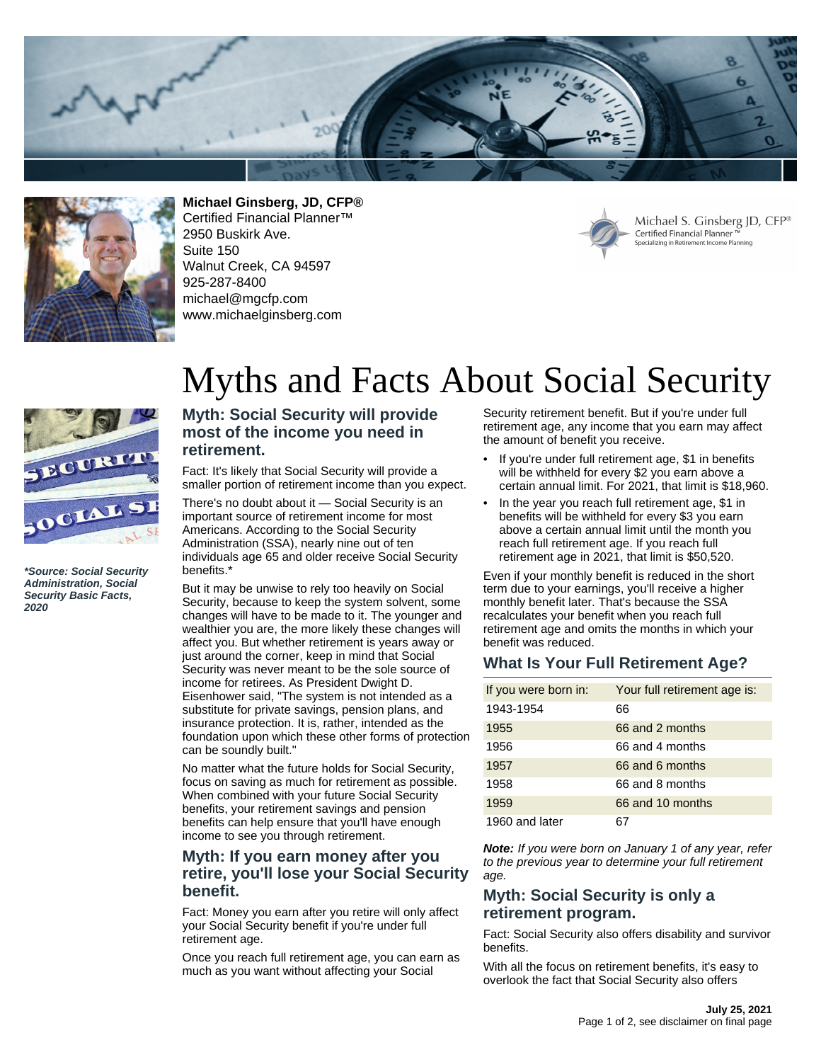



**Michael Ginsberg, JD, CFP®** Certified Financial Planner™ 2950 Buskirk Ave. Suite 150 Walnut Creek, CA 94597 925-287-8400 michael@mgcfp.com www.michaelginsberg.com



Michael S. Ginsberg JD, CFP® Certified Financial Planner Specializing in Retirement Income Planning

# Myths and Facts About Social Security



**\*Source: Social Security Administration, Social Security Basic Facts, 2020**

#### **Myth: Social Security will provide most of the income you need in retirement.**

Fact: It's likely that Social Security will provide a smaller portion of retirement income than you expect.

There's no doubt about it — Social Security is an important source of retirement income for most Americans. According to the Social Security Administration (SSA), nearly nine out of ten individuals age 65 and older receive Social Security benefits.\*

But it may be unwise to rely too heavily on Social Security, because to keep the system solvent, some changes will have to be made to it. The younger and wealthier you are, the more likely these changes will affect you. But whether retirement is years away or just around the corner, keep in mind that Social Security was never meant to be the sole source of income for retirees. As President Dwight D. Eisenhower said, "The system is not intended as a substitute for private savings, pension plans, and insurance protection. It is, rather, intended as the foundation upon which these other forms of protection can be soundly built."

No matter what the future holds for Social Security, focus on saving as much for retirement as possible. When combined with your future Social Security benefits, your retirement savings and pension benefits can help ensure that you'll have enough income to see you through retirement.

### **Myth: If you earn money after you retire, you'll lose your Social Security benefit.**

Fact: Money you earn after you retire will only affect your Social Security benefit if you're under full retirement age.

Once you reach full retirement age, you can earn as much as you want without affecting your Social

Security retirement benefit. But if you're under full retirement age, any income that you earn may affect the amount of benefit you receive.

- If you're under full retirement age, \$1 in benefits will be withheld for every \$2 you earn above a certain annual limit. For 2021, that limit is \$18,960.
- In the year you reach full retirement age, \$1 in benefits will be withheld for every \$3 you earn above a certain annual limit until the month you reach full retirement age. If you reach full retirement age in 2021, that limit is \$50,520.

Even if your monthly benefit is reduced in the short term due to your earnings, you'll receive a higher monthly benefit later. That's because the SSA recalculates your benefit when you reach full retirement age and omits the months in which your benefit was reduced.

### **What Is Your Full Retirement Age?**

| If you were born in: | Your full retirement age is: |
|----------------------|------------------------------|
| 1943-1954            | 66                           |
| 1955                 | 66 and 2 months              |
| 1956                 | 66 and 4 months              |
| 1957                 | 66 and 6 months              |
| 1958                 | 66 and 8 months              |
| 1959                 | 66 and 10 months             |
| 1960 and later       |                              |

**Note:** If you were born on January 1 of any year, refer to the previous year to determine your full retirement age.

#### **Myth: Social Security is only a retirement program.**

Fact: Social Security also offers disability and survivor benefits.

With all the focus on retirement benefits, it's easy to overlook the fact that Social Security also offers